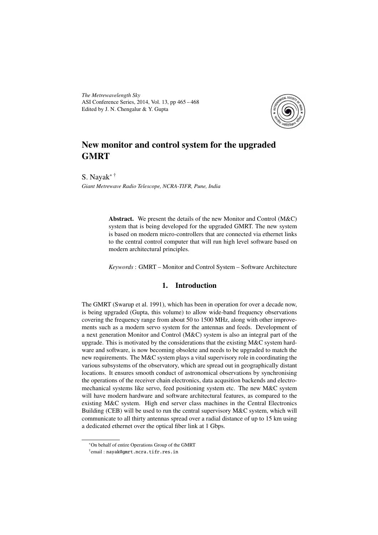*The Metrewavelength Sky* ASI Conference Series, 2014, Vol. 13, pp 465 – 468 Edited by J. N. Chengalur & Y. Gupta



# New monitor and control system for the upgraded **GMRT**

S. Nayak∗ † *Giant Metrewave Radio Telescope, NCRA-TIFR, Pune, India*

> Abstract. We present the details of the new Monitor and Control (M&C) system that is being developed for the upgraded GMRT. The new system is based on modern micro-controllers that are connected via ethernet links to the central control computer that will run high level software based on modern architectural principles.

> *Keywords* : GMRT – Monitor and Control System – Software Architecture

## 1. Introduction

The GMRT (Swarup et al. 1991), which has been in operation for over a decade now, is being upgraded (Gupta, this volume) to allow wide-band frequency observations covering the frequency range from about 50 to 1500 MHz, along with other improvements such as a modern servo system for the antennas and feeds. Development of a next generation Monitor and Control (M&C) system is also an integral part of the upgrade. This is motivated by the considerations that the existing  $M\&C$  system hardware and software, is now becoming obsolete and needs to be upgraded to match the new requirements. The M&C system plays a vital supervisory role in coordinating the various subsystems of the observatory, which are spread out in geographically distant locations. It ensures smooth conduct of astronomical observations by synchronising the operations of the receiver chain electronics, data acqusition backends and electromechanical systems like servo, feed positioning system etc. The new M&C system will have modern hardware and software architectural features, as compared to the existing M&C system. High end server class machines in the Central Electronics Building (CEB) will be used to run the central supervisory M&C system, which will communicate to all thirty antennas spread over a radial distance of up to 15 km using a dedicated ethernet over the optical fiber link at 1 Gbps.

<sup>∗</sup>On behalf of entire Operations Group of the GMRT

<sup>†</sup> email : nayak@gmrt.ncra.tifr.res.in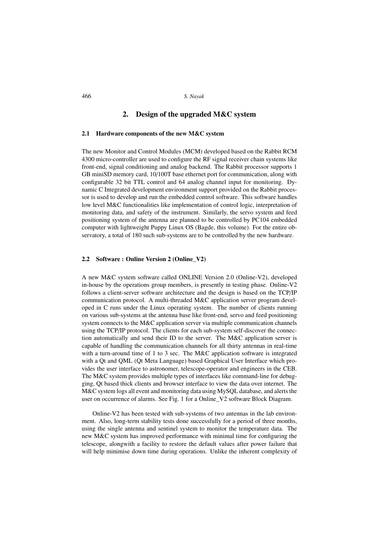## 466 *S. Nayak*

# 2. Design of the upgraded M&C system

### 2.1 Hardware components of the new M&C system

The new Monitor and Control Modules (MCM) developed based on the Rabbit RCM 4300 micro-controller are used to configure the RF signal receiver chain systems like front-end, signal conditioning and analog backend. The Rabbit processor supports 1 GB miniSD memory card, 10/100T base ethernet port for communication, along with configurable 32 bit TTL control and 64 analog channel input for monitoring. Dynamic C Integrated development environment support provided on the Rabbit processor is used to develop and run the embedded control software. This software handles low level M&C functionalities like implementation of control logic, interpretation of monitoring data, and safety of the instrument. Similarly, the servo system and feed positioning system of the antenna are planned to be controlled by PC104 embedded computer with lightweight Puppy Linux OS (Bagde, this volume). For the entire observatory, a total of 180 such sub-systems are to be controlled by the new hardware.

#### 2.2 Software : Online Version 2 (Online\_V2)

A new M&C system software called ONLINE Version 2.0 (Online-V2), developed in-house by the operations group members, is presently in testing phase. Online-V2 follows a client-server software architecture and the design is based on the TCP/IP communication protocol. A multi-threaded M&C application server program developed in C runs under the Linux operating system. The number of clients running on various sub-systems at the antenna base like front-end, servo and feed positioning system connects to the M&C application server via multiple communication channels using the TCP/IP protocol. The clients for each sub-system self-discover the connection automatically and send their ID to the server. The M&C application server is capable of handling the communication channels for all thirty antennas in real-time with a turn-around time of 1 to 3 sec. The M&C application software is integrated with a Qt and QML (Qt Meta Language) based Graphical User Interface which provides the user interface to astronomer, telescope-operator and engineers in the CEB. The M&C system provides multiple types of interfaces like command-line for debugging, Qt based thick clients and browser interface to view the data over internet. The M&C system logs all event and monitoring data using MySQL database, and alerts the user on occurrence of alarms. See Fig. 1 for a Online\_V2 software Block Diagram.

Online-V2 has been tested with sub-systems of two antennas in the lab environment. Also, long-term stability tests done successfully for a period of three months, using the single antenna and sentinel system to monitor the temperature data. The new M&C system has improved performance with minimal time for configuring the telescope, alongwith a facility to restore the default values after power failure that will help minimise down time during operations. Unlike the inherent complexity of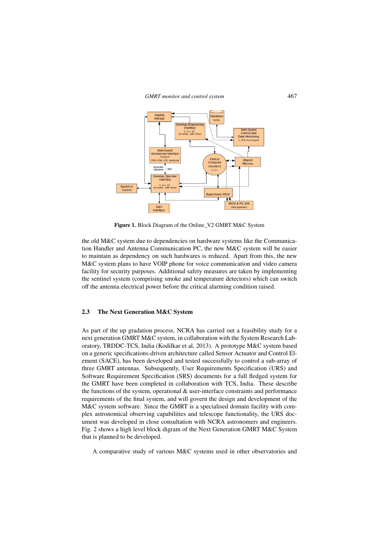*GMRT monitor and control system* 467



Figure 1. Block Diagram of the Online\_V2 GMRT M&C System

the old M&C system due to dependencies on hardware systems like the Communication Handler and Antenna Communication PC, the new M&C system will be easier to maintain as dependency on such hardwares is reduced. Apart from this, the new M&C system plans to have VOIP phone for voice communication and video camera facility for security purposes. Additional safety measures are taken by implementing the sentinel system (comprising smoke and temperature detectors) which can switch off the antenna electrical power before the critical alarming condition raised.

## 2.3 The Next Generation M&C System

As part of the up gradation process, NCRA has carried out a feasibility study for a next generation GMRT M&C system, in collaboration with the System Research Laboratory, TRDDC-TCS, India (Kodilkar et al, 2013). A prototype M&C system based on a generic specifications-driven architecture called Sensor Actuator and Control Element (SACE), has been developed and tested successfully to control a sub-array of three GMRT antennas. Subsequently, User Requirements Specification (URS) and Software Requirement Specification (SRS) documents for a full fledged system for the GMRT have been completed in collaboration with TCS, India. These describe the functions of the system, operational  $\&$  user-interface constraints and performance requirements of the final system, and will govern the design and development of the M&C system software. Since the GMRT is a specialised domain facility with complex astronomical observing capabilities and telescope functionality, the URS document was developed in close consultation with NCRA astronomers and engineers. Fig. 2 shows a high level block digram of the Next Generation GMRT M&C System that is planned to be developed.

A comparative study of various M&C systems used in other observatories and